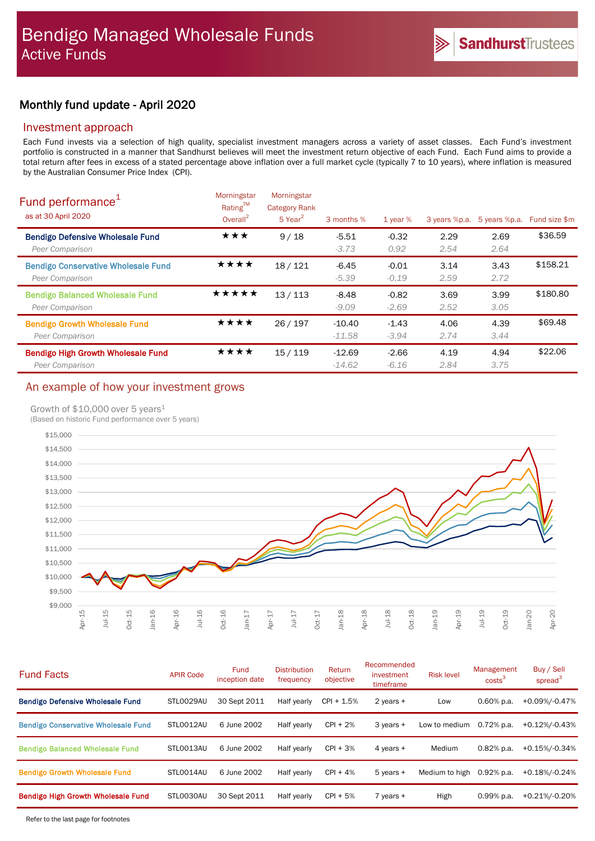# Monthly fund update - April 2020

## Investment approach

Each Fund invests via a selection of high quality, specialist investment managers across a variety of asset classes. Each Fund's investment portfolio is constructed in a manner that Sandhurst believes will meet the investment return objective of each Fund. Each Fund aims to provide a total return after fees in excess of a stated percentage above inflation over a full market cycle (typically 7 to 10 years), where inflation is measured by the Australian Consumer Price Index (CPI).

| Fund performance <sup>1</sup><br>as at 30 April 2020          | Morningstar<br>$Rating^{TM}$<br>Overall <sup>2</sup> | Morningstar<br><b>Category Rank</b><br>$5$ Year <sup>2</sup> | 3 months %           | 1 year $%$         | 3 years %p.a. | 5 years %p.a. | Fund size \$m |
|---------------------------------------------------------------|------------------------------------------------------|--------------------------------------------------------------|----------------------|--------------------|---------------|---------------|---------------|
| <b>Bendigo Defensive Wholesale Fund</b><br>Peer Comparison    | ★★★                                                  | 9/18                                                         | $-5.51$<br>$-3.73$   | $-0.32$<br>0.92    | 2.29<br>2.54  | 2.69<br>2.64  | \$36.59       |
| <b>Bendigo Conservative Wholesale Fund</b><br>Peer Comparison | ****                                                 | 18/121                                                       | $-6.45$<br>$-5.39$   | $-0.01$<br>$-0.19$ | 3.14<br>2.59  | 3.43<br>2.72  | \$158.21      |
| <b>Bendigo Balanced Wholesale Fund</b><br>Peer Comparison     | ★★★★★                                                | 13/113                                                       | $-8.48$<br>$-9.09$   | $-0.82$<br>$-2.69$ | 3.69<br>2.52  | 3.99<br>3.05  | \$180.80      |
| <b>Bendigo Growth Wholesale Fund</b><br>Peer Comparison       | ★★★★                                                 | 26/197                                                       | $-10.40$<br>$-11.58$ | $-1.43$<br>$-3.94$ | 4.06<br>2.74  | 4.39<br>3.44  | \$69.48       |
| <b>Bendigo High Growth Wholesale Fund</b><br>Peer Comparison  | ★★★★                                                 | 15/119                                                       | $-12.69$<br>$-14.62$ | $-2.66$<br>$-6.16$ | 4.19<br>2.84  | 4.94<br>3.75  | \$22.06       |

# An example of how your investment grows

## Growth of  $$10,000$  over 5 years<sup>1</sup>

(Based on historic Fund performance over 5 years)



| <b>Fund Facts</b>                          | <b>APIR Code</b> | <b>Fund</b><br>inception date | <b>Distribution</b><br>frequency | Return<br>objective | Recommended<br>investment<br>timeframe | <b>Risk level</b> | Management<br>costs <sup>3</sup> | Buy / Sell<br>spread <sup>3</sup> |
|--------------------------------------------|------------------|-------------------------------|----------------------------------|---------------------|----------------------------------------|-------------------|----------------------------------|-----------------------------------|
| <b>Bendigo Defensive Wholesale Fund</b>    | STL0029AU        | 30 Sept 2011                  | Half yearly                      | $CPI + 1.5%$        | 2 years +                              | Low               | $0.60\%$ p.a.                    | +0.09%/-0.47%                     |
| <b>Bendigo Conservative Wholesale Fund</b> | STL0012AU        | 6 June 2002                   | Half yearly                      | $CPI + 2%$          | 3 years +                              | Low to medium     | $0.72%$ p.a.                     | +0.12%/-0.43%                     |
| <b>Bendigo Balanced Wholesale Fund</b>     | STLO013AU        | 6 June 2002                   | Half yearly                      | $CPI + 3%$          | 4 years +                              | Medium            | $0.82%$ p.a.                     | +0.15%/-0.34%                     |
| <b>Bendigo Growth Wholesale Fund</b>       | STLO014AU        | 6 June 2002                   | Half yearly                      | $CPI + 4%$          | $5$ years $+$                          | Medium to high    | $0.92%$ p.a.                     | +0.18%/-0.24%                     |
| Bendigo High Growth Wholesale Fund         | STLO030AU        | 30 Sept 2011                  | Half yearly                      | $CPI + 5%$          | $7$ years $+$                          | High              | $0.99%$ p.a.                     | +0.21%/-0.20%                     |
|                                            |                  |                               |                                  |                     |                                        |                   |                                  |                                   |

Refer to the last page for footnotes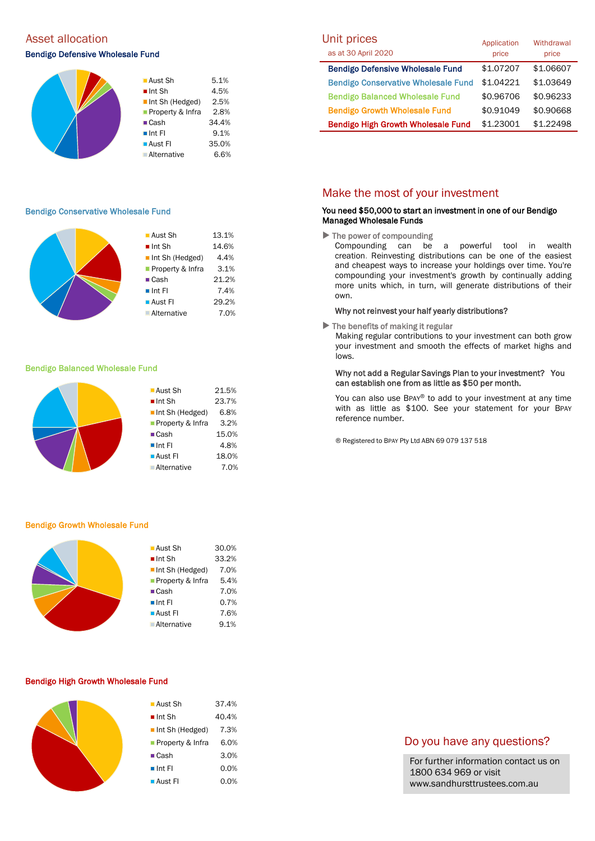# Asset allocation and the Unit prices of the Unit prices of the Unit prices of the Unit prices of the Unit pric

## Bendigo Defensive Wholesale Fund



#### Bendigo Conservative Wholesale Fund

|  | ■ Aust Sh             | 13.1% |
|--|-----------------------|-------|
|  |                       |       |
|  | $\blacksquare$ Int Sh | 14.6% |
|  | Int Sh (Hedged)       | 4.4%  |
|  | Property & Infra      | 3.1%  |
|  | $\blacksquare$ Cash   | 21.2% |
|  | $\blacksquare$ Int Fl | 7.4%  |
|  | ■ Aust Fl             | 29.2% |
|  | ■ Alternative         | 7.0%  |
|  |                       |       |

#### Bendigo Balanced Wholesale Fund

|  | $\blacksquare$ Aust Sh | 21.5% |
|--|------------------------|-------|
|  | $\blacksquare$ Int Sh  | 23.7% |
|  | Int Sh (Hedged)        | 6.8%  |
|  | Property & Infra       | 3.2%  |
|  | $\blacksquare$ Cash    | 15.0% |
|  | $\blacksquare$ Int Fl  | 4.8%  |
|  | <b>Aust Fl</b>         | 18.0% |
|  | <b>Alternative</b>     | 7.0%  |
|  |                        |       |

#### Bendigo Growth Wholesale Fund

|  | $\blacksquare$ Aust Sh         | 30.0% |
|--|--------------------------------|-------|
|  | $\blacksquare$ Int Sh          | 33.2% |
|  | $\blacksquare$ Int Sh (Hedged) | 7.0%  |
|  | <b>Property &amp; Infra</b>    | 5.4%  |
|  | $\blacksquare$ Cash            | 7.0%  |
|  | $\blacksquare$ Int FI          | 0.7%  |
|  | $\blacksquare$ Aust FI         | 7.6%  |
|  | <b>Alternative</b>             | 9.1%  |
|  |                                |       |

#### Bendigo High Growth Wholesale Fund

| ■ Aust Sh                      | 37.4% |
|--------------------------------|-------|
| $\blacksquare$ Int Sh          | 40.4% |
| $\blacksquare$ Int Sh (Hedged) | 7.3%  |
| Property & Infra               | 6.0%  |
| $\blacksquare$ Cash            | 3.0%  |
| $\blacksquare$ Int FI          | 0.0%  |
| <b>Aust Fl</b>                 | 0.0%  |

| Unit prices<br>as at 30 April 2020         | Application<br>price | Withdrawal<br>price |
|--------------------------------------------|----------------------|---------------------|
| <b>Bendigo Defensive Wholesale Fund</b>    | \$1.07207            | \$1,06607           |
| <b>Bendigo Conservative Wholesale Fund</b> | \$1.04221            | \$1.03649           |
| <b>Bendigo Balanced Wholesale Fund</b>     | \$0.96706            | \$0.96233           |
| <b>Bendigo Growth Wholesale Fund</b>       | \$0.91049            | \$0.90668           |
| <b>Bendigo High Growth Wholesale Fund</b>  | \$1,23001            | \$1.22498           |

## Make the most of your investment

### You need \$50,000 to start an investment in one of our Bendigo Managed Wholesale Funds

 $\blacktriangleright$  The power of compounding

Compounding can be a powerful tool in wealth creation. Reinvesting distributions can be one of the easiest and cheapest ways to increase your holdings over time. You're compounding your investment's growth by continually adding more units which, in turn, will generate distributions of their own.

#### Why not reinvest your half yearly distributions?

 $\blacktriangleright$  The benefits of making it regular

Making regular contributions to your investment can both grow your investment and smooth the effects of market highs and lows.

### Why not add a Regular Savings Plan to your investment? You can establish one from as little as \$50 per month.

You can also use BPAY® to add to your investment at any time with as little as \$100. See your statement for your BPAY reference number.

® Registered to BPAY Pty Ltd ABN 69 079 137 518

## Do you have any questions?

For further information contact us on 1800 634 969 or visit www.sandhursttrustees.com.au